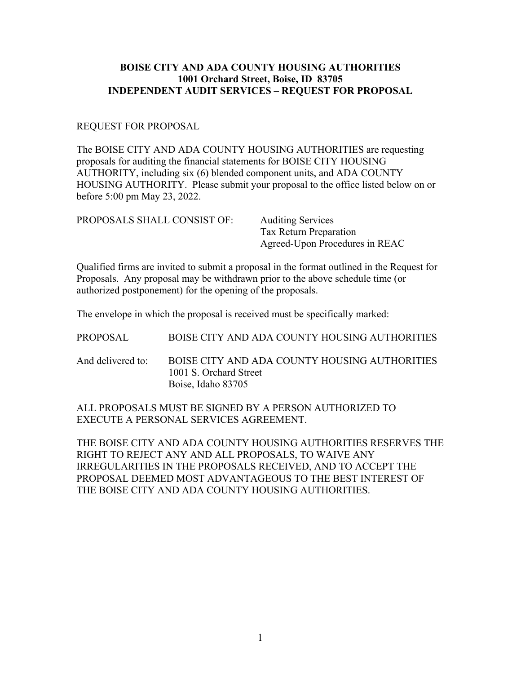## **BOISE CITY AND ADA COUNTY HOUSING AUTHORITIES 1001 Orchard Street, Boise, ID 83705 INDEPENDENT AUDIT SERVICES – REQUEST FOR PROPOSAL**

## REQUEST FOR PROPOSAL

The BOISE CITY AND ADA COUNTY HOUSING AUTHORITIES are requesting proposals for auditing the financial statements for BOISE CITY HOUSING AUTHORITY, including six (6) blended component units, and ADA COUNTY HOUSING AUTHORITY. Please submit your proposal to the office listed below on or before 5:00 pm May 23, 2022.

| PROPOSALS SHALL CONSIST OF: | <b>Auditing Services</b>       |
|-----------------------------|--------------------------------|
|                             | Tax Return Preparation         |
|                             | Agreed-Upon Procedures in REAC |

Qualified firms are invited to submit a proposal in the format outlined in the Request for Proposals. Any proposal may be withdrawn prior to the above schedule time (or authorized postponement) for the opening of the proposals.

The envelope in which the proposal is received must be specifically marked:

|  | PROPOSAL | BOISE CITY AND ADA COUNTY HOUSING AUTHORITIES |  |  |  |
|--|----------|-----------------------------------------------|--|--|--|
|--|----------|-----------------------------------------------|--|--|--|

And delivered to: BOISE CITY AND ADA COUNTY HOUSING AUTHORITIES 1001 S. Orchard Street Boise, Idaho 83705

ALL PROPOSALS MUST BE SIGNED BY A PERSON AUTHORIZED TO EXECUTE A PERSONAL SERVICES AGREEMENT.

THE BOISE CITY AND ADA COUNTY HOUSING AUTHORITIES RESERVES THE RIGHT TO REJECT ANY AND ALL PROPOSALS, TO WAIVE ANY IRREGULARITIES IN THE PROPOSALS RECEIVED, AND TO ACCEPT THE PROPOSAL DEEMED MOST ADVANTAGEOUS TO THE BEST INTEREST OF THE BOISE CITY AND ADA COUNTY HOUSING AUTHORITIES.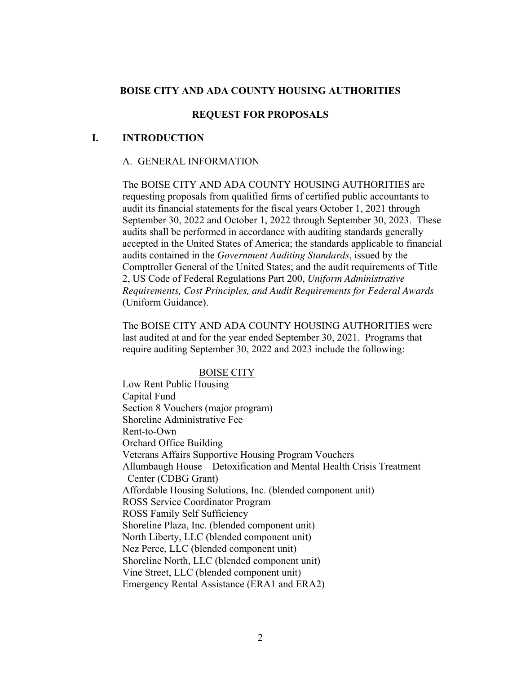## **BOISE CITY AND ADA COUNTY HOUSING AUTHORITIES**

### **REQUEST FOR PROPOSALS**

## **I. INTRODUCTION**

### A. GENERAL INFORMATION

The BOISE CITY AND ADA COUNTY HOUSING AUTHORITIES are requesting proposals from qualified firms of certified public accountants to audit its financial statements for the fiscal years October 1, 2021 through September 30, 2022 and October 1, 2022 through September 30, 2023. These audits shall be performed in accordance with auditing standards generally accepted in the United States of America; the standards applicable to financial audits contained in the *Government Auditing Standards*, issued by the Comptroller General of the United States; and the audit requirements of Title 2, US Code of Federal Regulations Part 200, *Uniform Administrative Requirements, Cost Principles, and Audit Requirements for Federal Awards* (Uniform Guidance).

The BOISE CITY AND ADA COUNTY HOUSING AUTHORITIES were last audited at and for the year ended September 30, 2021. Programs that require auditing September 30, 2022 and 2023 include the following:

#### BOISE CITY

Low Rent Public Housing Capital Fund Section 8 Vouchers (major program) Shoreline Administrative Fee Rent-to-Own Orchard Office Building Veterans Affairs Supportive Housing Program Vouchers Allumbaugh House – Detoxification and Mental Health Crisis Treatment Center (CDBG Grant) Affordable Housing Solutions, Inc. (blended component unit) ROSS Service Coordinator Program ROSS Family Self Sufficiency Shoreline Plaza, Inc. (blended component unit) North Liberty, LLC (blended component unit) Nez Perce, LLC (blended component unit) Shoreline North, LLC (blended component unit) Vine Street, LLC (blended component unit) Emergency Rental Assistance (ERA1 and ERA2)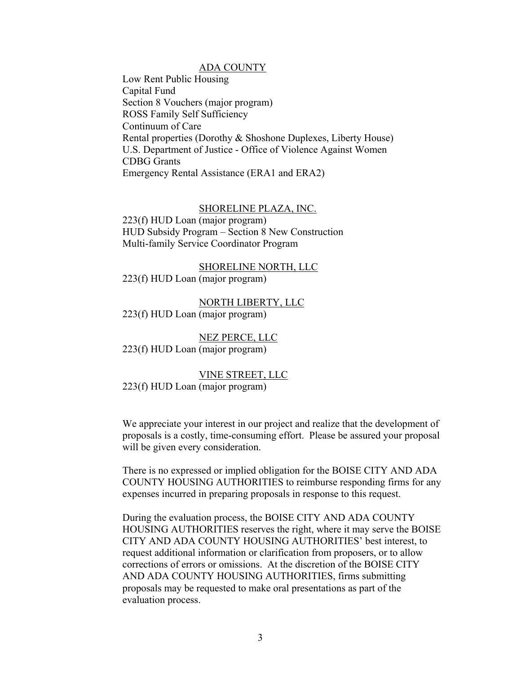#### ADA COUNTY

Low Rent Public Housing Capital Fund Section 8 Vouchers (major program) ROSS Family Self Sufficiency Continuum of Care Rental properties (Dorothy & Shoshone Duplexes, Liberty House) U.S. Department of Justice - Office of Violence Against Women CDBG Grants Emergency Rental Assistance (ERA1 and ERA2)

#### SHORELINE PLAZA, INC.

223(f) HUD Loan (major program) HUD Subsidy Program – Section 8 New Construction Multi-family Service Coordinator Program

#### SHORELINE NORTH, LLC

223(f) HUD Loan (major program)

NORTH LIBERTY, LLC

223(f) HUD Loan (major program)

NEZ PERCE, LLC 223(f) HUD Loan (major program)

VINE STREET, LLC

223(f) HUD Loan (major program)

We appreciate your interest in our project and realize that the development of proposals is a costly, time-consuming effort. Please be assured your proposal will be given every consideration.

There is no expressed or implied obligation for the BOISE CITY AND ADA COUNTY HOUSING AUTHORITIES to reimburse responding firms for any expenses incurred in preparing proposals in response to this request.

During the evaluation process, the BOISE CITY AND ADA COUNTY HOUSING AUTHORITIES reserves the right, where it may serve the BOISE CITY AND ADA COUNTY HOUSING AUTHORITIES' best interest, to request additional information or clarification from proposers, or to allow corrections of errors or omissions. At the discretion of the BOISE CITY AND ADA COUNTY HOUSING AUTHORITIES, firms submitting proposals may be requested to make oral presentations as part of the evaluation process.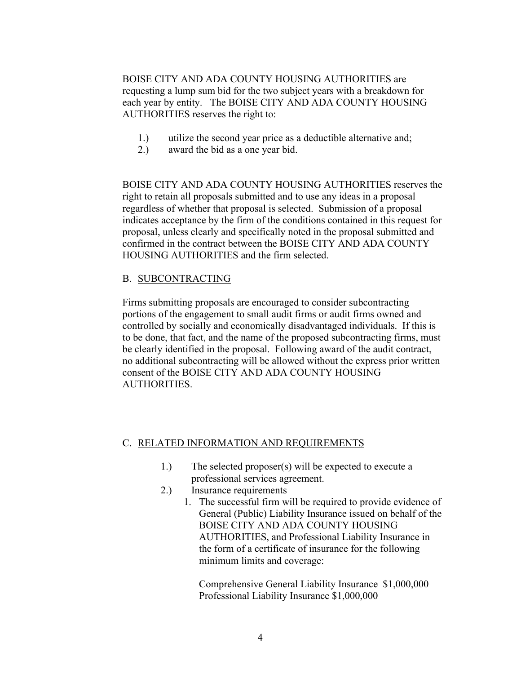BOISE CITY AND ADA COUNTY HOUSING AUTHORITIES are requesting a lump sum bid for the two subject years with a breakdown for each year by entity. The BOISE CITY AND ADA COUNTY HOUSING AUTHORITIES reserves the right to:

- 1.) utilize the second year price as a deductible alternative and;
- 2.) award the bid as a one year bid.

BOISE CITY AND ADA COUNTY HOUSING AUTHORITIES reserves the right to retain all proposals submitted and to use any ideas in a proposal regardless of whether that proposal is selected. Submission of a proposal indicates acceptance by the firm of the conditions contained in this request for proposal, unless clearly and specifically noted in the proposal submitted and confirmed in the contract between the BOISE CITY AND ADA COUNTY HOUSING AUTHORITIES and the firm selected.

### B. SUBCONTRACTING

Firms submitting proposals are encouraged to consider subcontracting portions of the engagement to small audit firms or audit firms owned and controlled by socially and economically disadvantaged individuals. If this is to be done, that fact, and the name of the proposed subcontracting firms, must be clearly identified in the proposal. Following award of the audit contract, no additional subcontracting will be allowed without the express prior written consent of the BOISE CITY AND ADA COUNTY HOUSING AUTHORITIES.

### C. RELATED INFORMATION AND REQUIREMENTS

- 1.) The selected proposer(s) will be expected to execute a professional services agreement.
- 2.) Insurance requirements
	- 1. The successful firm will be required to provide evidence of General (Public) Liability Insurance issued on behalf of the BOISE CITY AND ADA COUNTY HOUSING AUTHORITIES, and Professional Liability Insurance in the form of a certificate of insurance for the following minimum limits and coverage:

Comprehensive General Liability Insurance \$1,000,000 Professional Liability Insurance \$1,000,000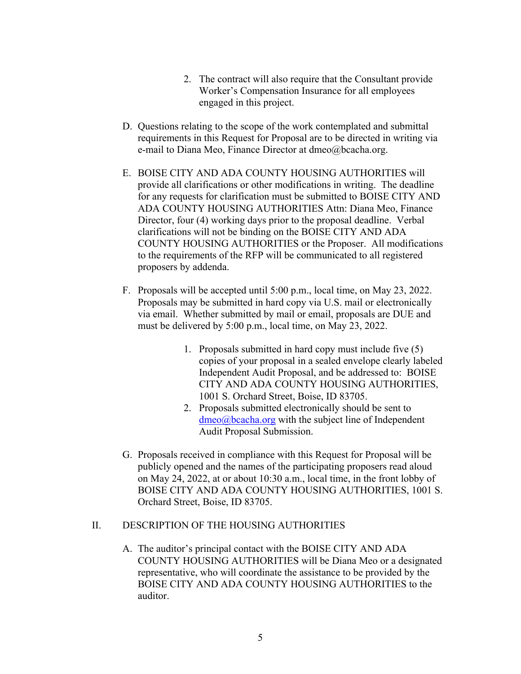- 2. The contract will also require that the Consultant provide Worker's Compensation Insurance for all employees engaged in this project.
- D. Questions relating to the scope of the work contemplated and submittal requirements in this Request for Proposal are to be directed in writing via e-mail to Diana Meo, Finance Director at dmeo@bcacha.org.
- E. BOISE CITY AND ADA COUNTY HOUSING AUTHORITIES will provide all clarifications or other modifications in writing. The deadline for any requests for clarification must be submitted to BOISE CITY AND ADA COUNTY HOUSING AUTHORITIES Attn: Diana Meo, Finance Director, four (4) working days prior to the proposal deadline. Verbal clarifications will not be binding on the BOISE CITY AND ADA COUNTY HOUSING AUTHORITIES or the Proposer. All modifications to the requirements of the RFP will be communicated to all registered proposers by addenda.
- F. Proposals will be accepted until 5:00 p.m., local time, on May 23, 2022. Proposals may be submitted in hard copy via U.S. mail or electronically via email. Whether submitted by mail or email, proposals are DUE and must be delivered by 5:00 p.m., local time, on May 23, 2022.
	- 1. Proposals submitted in hard copy must include five (5) copies of your proposal in a sealed envelope clearly labeled Independent Audit Proposal, and be addressed to: BOISE CITY AND ADA COUNTY HOUSING AUTHORITIES, 1001 S. Orchard Street, Boise, ID 83705.
	- 2. Proposals submitted electronically should be sent to dmeo@bcacha.org with the subject line of Independent Audit Proposal Submission.
- G. Proposals received in compliance with this Request for Proposal will be publicly opened and the names of the participating proposers read aloud on May 24, 2022, at or about 10:30 a.m., local time, in the front lobby of BOISE CITY AND ADA COUNTY HOUSING AUTHORITIES, 1001 S. Orchard Street, Boise, ID 83705.

## II. DESCRIPTION OF THE HOUSING AUTHORITIES

A. The auditor's principal contact with the BOISE CITY AND ADA COUNTY HOUSING AUTHORITIES will be Diana Meo or a designated representative, who will coordinate the assistance to be provided by the BOISE CITY AND ADA COUNTY HOUSING AUTHORITIES to the auditor.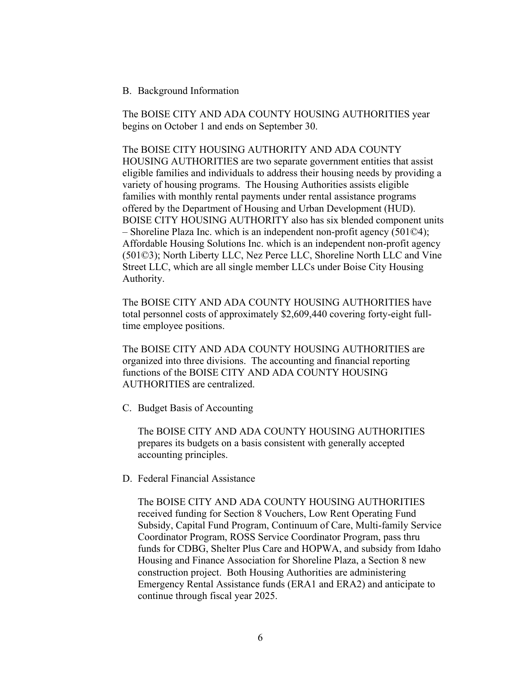### B. Background Information

The BOISE CITY AND ADA COUNTY HOUSING AUTHORITIES year begins on October 1 and ends on September 30.

The BOISE CITY HOUSING AUTHORITY AND ADA COUNTY HOUSING AUTHORITIES are two separate government entities that assist eligible families and individuals to address their housing needs by providing a variety of housing programs. The Housing Authorities assists eligible families with monthly rental payments under rental assistance programs offered by the Department of Housing and Urban Development (HUD). BOISE CITY HOUSING AUTHORITY also has six blended component units – Shoreline Plaza Inc. which is an independent non-profit agency (501©4); Affordable Housing Solutions Inc. which is an independent non-profit agency (501©3); North Liberty LLC, Nez Perce LLC, Shoreline North LLC and Vine Street LLC, which are all single member LLCs under Boise City Housing Authority.

The BOISE CITY AND ADA COUNTY HOUSING AUTHORITIES have total personnel costs of approximately \$2,609,440 covering forty-eight fulltime employee positions.

The BOISE CITY AND ADA COUNTY HOUSING AUTHORITIES are organized into three divisions. The accounting and financial reporting functions of the BOISE CITY AND ADA COUNTY HOUSING AUTHORITIES are centralized.

C. Budget Basis of Accounting

The BOISE CITY AND ADA COUNTY HOUSING AUTHORITIES prepares its budgets on a basis consistent with generally accepted accounting principles.

D. Federal Financial Assistance

The BOISE CITY AND ADA COUNTY HOUSING AUTHORITIES received funding for Section 8 Vouchers, Low Rent Operating Fund Subsidy, Capital Fund Program, Continuum of Care, Multi-family Service Coordinator Program, ROSS Service Coordinator Program, pass thru funds for CDBG, Shelter Plus Care and HOPWA, and subsidy from Idaho Housing and Finance Association for Shoreline Plaza, a Section 8 new construction project. Both Housing Authorities are administering Emergency Rental Assistance funds (ERA1 and ERA2) and anticipate to continue through fiscal year 2025.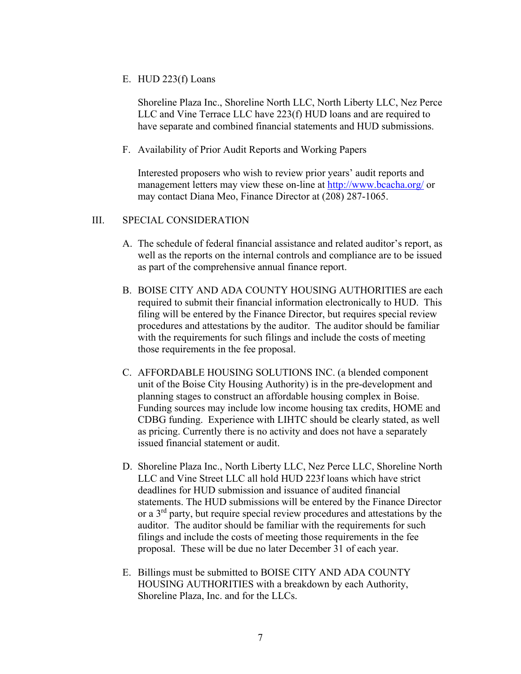E. HUD 223(f) Loans

Shoreline Plaza Inc., Shoreline North LLC, North Liberty LLC, Nez Perce LLC and Vine Terrace LLC have 223(f) HUD loans and are required to have separate and combined financial statements and HUD submissions.

F. Availability of Prior Audit Reports and Working Papers

Interested proposers who wish to review prior years' audit reports and management letters may view these on-line at http://www.bcacha.org/ or may contact Diana Meo, Finance Director at (208) 287-1065.

### III. SPECIAL CONSIDERATION

- A. The schedule of federal financial assistance and related auditor's report, as well as the reports on the internal controls and compliance are to be issued as part of the comprehensive annual finance report.
- B. BOISE CITY AND ADA COUNTY HOUSING AUTHORITIES are each required to submit their financial information electronically to HUD. This filing will be entered by the Finance Director, but requires special review procedures and attestations by the auditor. The auditor should be familiar with the requirements for such filings and include the costs of meeting those requirements in the fee proposal.
- C. AFFORDABLE HOUSING SOLUTIONS INC. (a blended component unit of the Boise City Housing Authority) is in the pre-development and planning stages to construct an affordable housing complex in Boise. Funding sources may include low income housing tax credits, HOME and CDBG funding. Experience with LIHTC should be clearly stated, as well as pricing. Currently there is no activity and does not have a separately issued financial statement or audit.
- D. Shoreline Plaza Inc., North Liberty LLC, Nez Perce LLC, Shoreline North LLC and Vine Street LLC all hold HUD 223f loans which have strict deadlines for HUD submission and issuance of audited financial statements. The HUD submissions will be entered by the Finance Director or a 3rd party, but require special review procedures and attestations by the auditor. The auditor should be familiar with the requirements for such filings and include the costs of meeting those requirements in the fee proposal. These will be due no later December 31 of each year.
- E. Billings must be submitted to BOISE CITY AND ADA COUNTY HOUSING AUTHORITIES with a breakdown by each Authority, Shoreline Plaza, Inc. and for the LLCs.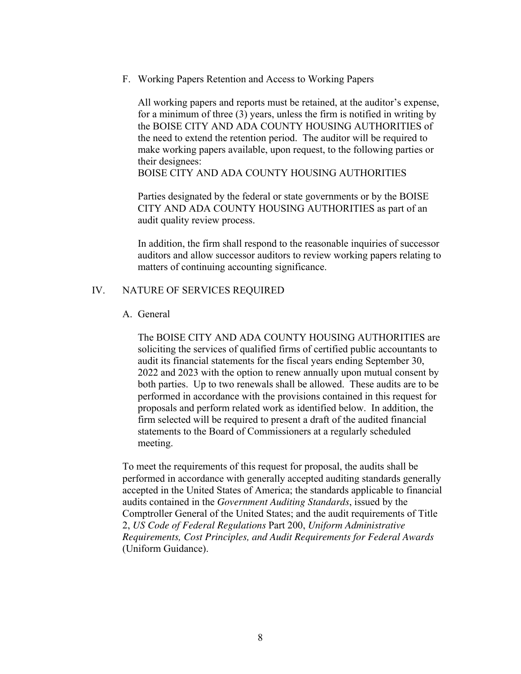F. Working Papers Retention and Access to Working Papers

All working papers and reports must be retained, at the auditor's expense, for a minimum of three (3) years, unless the firm is notified in writing by the BOISE CITY AND ADA COUNTY HOUSING AUTHORITIES of the need to extend the retention period. The auditor will be required to make working papers available, upon request, to the following parties or their designees:

BOISE CITY AND ADA COUNTY HOUSING AUTHORITIES

Parties designated by the federal or state governments or by the BOISE CITY AND ADA COUNTY HOUSING AUTHORITIES as part of an audit quality review process.

In addition, the firm shall respond to the reasonable inquiries of successor auditors and allow successor auditors to review working papers relating to matters of continuing accounting significance.

### IV. NATURE OF SERVICES REQUIRED

### A. General

The BOISE CITY AND ADA COUNTY HOUSING AUTHORITIES are soliciting the services of qualified firms of certified public accountants to audit its financial statements for the fiscal years ending September 30, 2022 and 2023 with the option to renew annually upon mutual consent by both parties. Up to two renewals shall be allowed. These audits are to be performed in accordance with the provisions contained in this request for proposals and perform related work as identified below. In addition, the firm selected will be required to present a draft of the audited financial statements to the Board of Commissioners at a regularly scheduled meeting.

To meet the requirements of this request for proposal, the audits shall be performed in accordance with generally accepted auditing standards generally accepted in the United States of America; the standards applicable to financial audits contained in the *Government Auditing Standards*, issued by the Comptroller General of the United States; and the audit requirements of Title 2, *US Code of Federal Regulations* Part 200, *Uniform Administrative Requirements, Cost Principles, and Audit Requirements for Federal Awards*  (Uniform Guidance).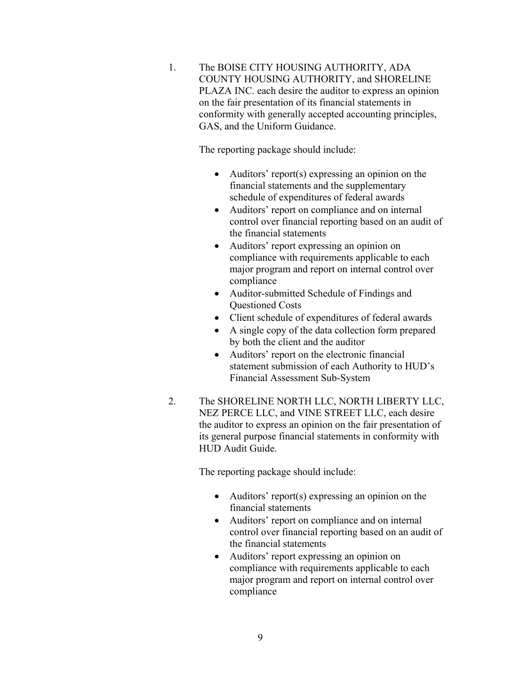1. The BOISE CITY HOUSING AUTHORITY, ADA COUNTY HOUSING AUTHORITY, and SHORELINE PLAZA INC. each desire the auditor to express an opinion on the fair presentation of its financial statements in conformity with generally accepted accounting principles, GAS, and the Uniform Guidance.

The reporting package should include:

- Auditors' report(s) expressing an opinion on the financial statements and the supplementary schedule of expenditures of federal awards
- Auditors' report on compliance and on internal control over financial reporting based on an audit of the financial statements
- Auditors' report expressing an opinion on compliance with requirements applicable to each major program and report on internal control over compliance
- Auditor-submitted Schedule of Findings and Questioned Costs
- Client schedule of expenditures of federal awards
- A single copy of the data collection form prepared by both the client and the auditor
- Auditors' report on the electronic financial statement submission of each Authority to HUD's Financial Assessment Sub-System
- 2. The SHORELINE NORTH LLC, NORTH LIBERTY LLC, NEZ PERCE LLC, and VINE STREET LLC, each desire the auditor to express an opinion on the fair presentation of its general purpose financial statements in conformity with HUD Audit Guide.

The reporting package should include:

- Auditors' report(s) expressing an opinion on the financial statements
- Auditors' report on compliance and on internal control over financial reporting based on an audit of the financial statements
- Auditors' report expressing an opinion on compliance with requirements applicable to each major program and report on internal control over compliance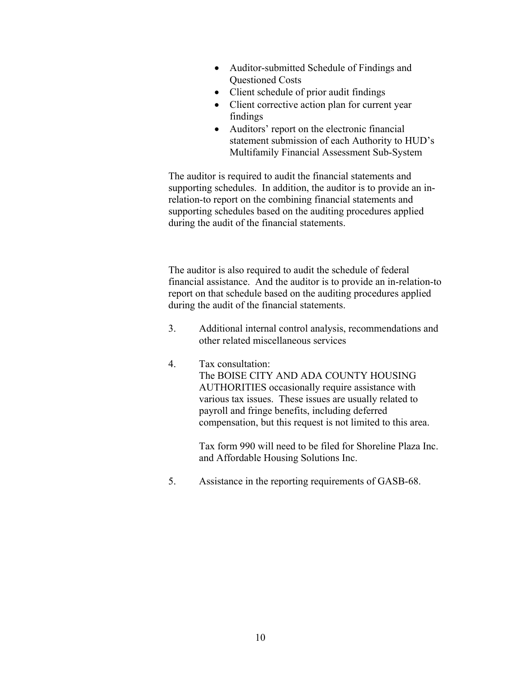- Auditor-submitted Schedule of Findings and Questioned Costs
- Client schedule of prior audit findings
- Client corrective action plan for current year findings
- Auditors' report on the electronic financial statement submission of each Authority to HUD's Multifamily Financial Assessment Sub-System

The auditor is required to audit the financial statements and supporting schedules. In addition, the auditor is to provide an inrelation-to report on the combining financial statements and supporting schedules based on the auditing procedures applied during the audit of the financial statements.

The auditor is also required to audit the schedule of federal financial assistance. And the auditor is to provide an in-relation-to report on that schedule based on the auditing procedures applied during the audit of the financial statements.

- 3. Additional internal control analysis, recommendations and other related miscellaneous services
- 4. Tax consultation: The BOISE CITY AND ADA COUNTY HOUSING AUTHORITIES occasionally require assistance with various tax issues. These issues are usually related to payroll and fringe benefits, including deferred compensation, but this request is not limited to this area.

Tax form 990 will need to be filed for Shoreline Plaza Inc. and Affordable Housing Solutions Inc.

5. Assistance in the reporting requirements of GASB-68.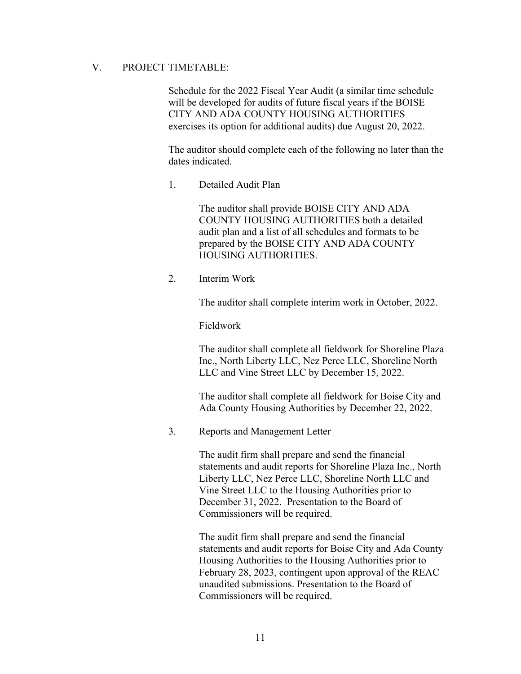## V. PROJECT TIMETABLE:

Schedule for the 2022 Fiscal Year Audit (a similar time schedule will be developed for audits of future fiscal years if the BOISE CITY AND ADA COUNTY HOUSING AUTHORITIES exercises its option for additional audits) due August 20, 2022.

The auditor should complete each of the following no later than the dates indicated.

1. Detailed Audit Plan

The auditor shall provide BOISE CITY AND ADA COUNTY HOUSING AUTHORITIES both a detailed audit plan and a list of all schedules and formats to be prepared by the BOISE CITY AND ADA COUNTY HOUSING AUTHORITIES.

2. Interim Work

The auditor shall complete interim work in October, 2022.

Fieldwork

The auditor shall complete all fieldwork for Shoreline Plaza Inc., North Liberty LLC, Nez Perce LLC, Shoreline North LLC and Vine Street LLC by December 15, 2022.

The auditor shall complete all fieldwork for Boise City and Ada County Housing Authorities by December 22, 2022.

3. Reports and Management Letter

The audit firm shall prepare and send the financial statements and audit reports for Shoreline Plaza Inc., North Liberty LLC, Nez Perce LLC, Shoreline North LLC and Vine Street LLC to the Housing Authorities prior to December 31, 2022. Presentation to the Board of Commissioners will be required.

The audit firm shall prepare and send the financial statements and audit reports for Boise City and Ada County Housing Authorities to the Housing Authorities prior to February 28, 2023, contingent upon approval of the REAC unaudited submissions. Presentation to the Board of Commissioners will be required.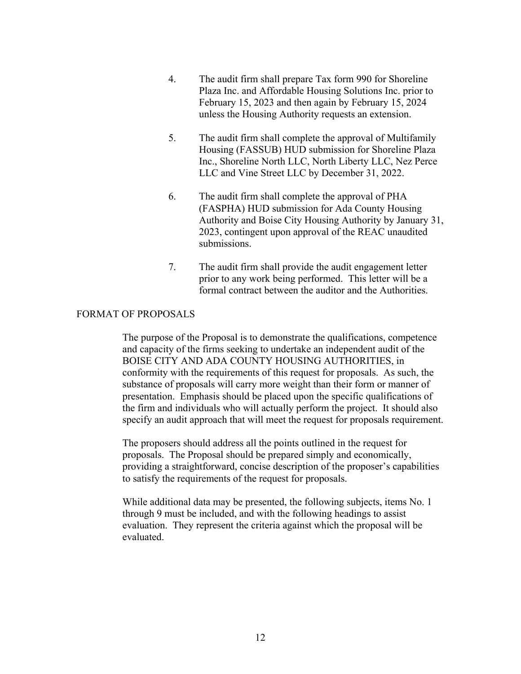- 4. The audit firm shall prepare Tax form 990 for Shoreline Plaza Inc. and Affordable Housing Solutions Inc. prior to February 15, 2023 and then again by February 15, 2024 unless the Housing Authority requests an extension.
- 5. The audit firm shall complete the approval of Multifamily Housing (FASSUB) HUD submission for Shoreline Plaza Inc., Shoreline North LLC, North Liberty LLC, Nez Perce LLC and Vine Street LLC by December 31, 2022.
- 6. The audit firm shall complete the approval of PHA (FASPHA) HUD submission for Ada County Housing Authority and Boise City Housing Authority by January 31, 2023, contingent upon approval of the REAC unaudited submissions.
- 7. The audit firm shall provide the audit engagement letter prior to any work being performed. This letter will be a formal contract between the auditor and the Authorities.

## FORMAT OF PROPOSALS

The purpose of the Proposal is to demonstrate the qualifications, competence and capacity of the firms seeking to undertake an independent audit of the BOISE CITY AND ADA COUNTY HOUSING AUTHORITIES, in conformity with the requirements of this request for proposals. As such, the substance of proposals will carry more weight than their form or manner of presentation. Emphasis should be placed upon the specific qualifications of the firm and individuals who will actually perform the project. It should also specify an audit approach that will meet the request for proposals requirement.

The proposers should address all the points outlined in the request for proposals. The Proposal should be prepared simply and economically, providing a straightforward, concise description of the proposer's capabilities to satisfy the requirements of the request for proposals.

While additional data may be presented, the following subjects, items No. 1 through 9 must be included, and with the following headings to assist evaluation. They represent the criteria against which the proposal will be evaluated.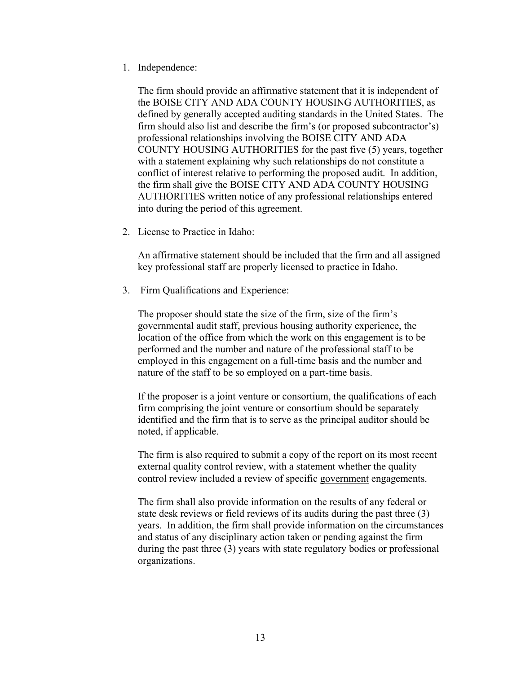1. Independence:

The firm should provide an affirmative statement that it is independent of the BOISE CITY AND ADA COUNTY HOUSING AUTHORITIES, as defined by generally accepted auditing standards in the United States. The firm should also list and describe the firm's (or proposed subcontractor's) professional relationships involving the BOISE CITY AND ADA COUNTY HOUSING AUTHORITIES for the past five (5) years, together with a statement explaining why such relationships do not constitute a conflict of interest relative to performing the proposed audit. In addition, the firm shall give the BOISE CITY AND ADA COUNTY HOUSING AUTHORITIES written notice of any professional relationships entered into during the period of this agreement.

2. License to Practice in Idaho:

An affirmative statement should be included that the firm and all assigned key professional staff are properly licensed to practice in Idaho.

3. Firm Qualifications and Experience:

The proposer should state the size of the firm, size of the firm's governmental audit staff, previous housing authority experience, the location of the office from which the work on this engagement is to be performed and the number and nature of the professional staff to be employed in this engagement on a full-time basis and the number and nature of the staff to be so employed on a part-time basis.

If the proposer is a joint venture or consortium, the qualifications of each firm comprising the joint venture or consortium should be separately identified and the firm that is to serve as the principal auditor should be noted, if applicable.

The firm is also required to submit a copy of the report on its most recent external quality control review, with a statement whether the quality control review included a review of specific government engagements.

The firm shall also provide information on the results of any federal or state desk reviews or field reviews of its audits during the past three (3) years. In addition, the firm shall provide information on the circumstances and status of any disciplinary action taken or pending against the firm during the past three (3) years with state regulatory bodies or professional organizations.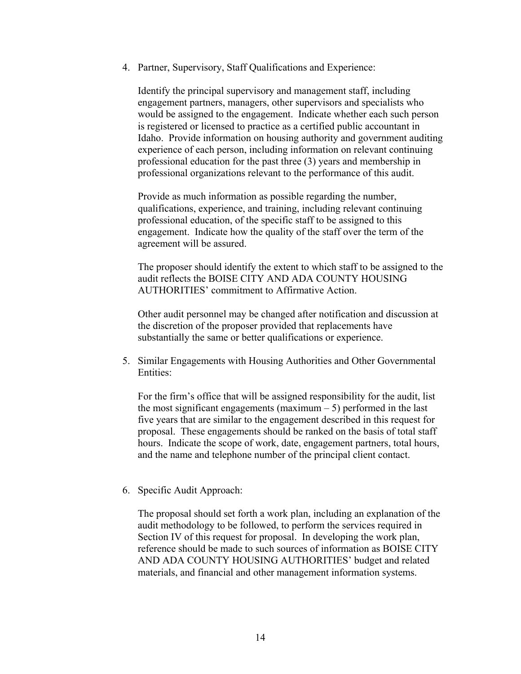4. Partner, Supervisory, Staff Qualifications and Experience:

Identify the principal supervisory and management staff, including engagement partners, managers, other supervisors and specialists who would be assigned to the engagement. Indicate whether each such person is registered or licensed to practice as a certified public accountant in Idaho. Provide information on housing authority and government auditing experience of each person, including information on relevant continuing professional education for the past three (3) years and membership in professional organizations relevant to the performance of this audit.

Provide as much information as possible regarding the number, qualifications, experience, and training, including relevant continuing professional education, of the specific staff to be assigned to this engagement. Indicate how the quality of the staff over the term of the agreement will be assured.

The proposer should identify the extent to which staff to be assigned to the audit reflects the BOISE CITY AND ADA COUNTY HOUSING AUTHORITIES' commitment to Affirmative Action.

Other audit personnel may be changed after notification and discussion at the discretion of the proposer provided that replacements have substantially the same or better qualifications or experience.

5. Similar Engagements with Housing Authorities and Other Governmental Entities:

For the firm's office that will be assigned responsibility for the audit, list the most significant engagements (maximum  $-5$ ) performed in the last five years that are similar to the engagement described in this request for proposal. These engagements should be ranked on the basis of total staff hours. Indicate the scope of work, date, engagement partners, total hours, and the name and telephone number of the principal client contact.

6. Specific Audit Approach:

The proposal should set forth a work plan, including an explanation of the audit methodology to be followed, to perform the services required in Section IV of this request for proposal. In developing the work plan, reference should be made to such sources of information as BOISE CITY AND ADA COUNTY HOUSING AUTHORITIES' budget and related materials, and financial and other management information systems.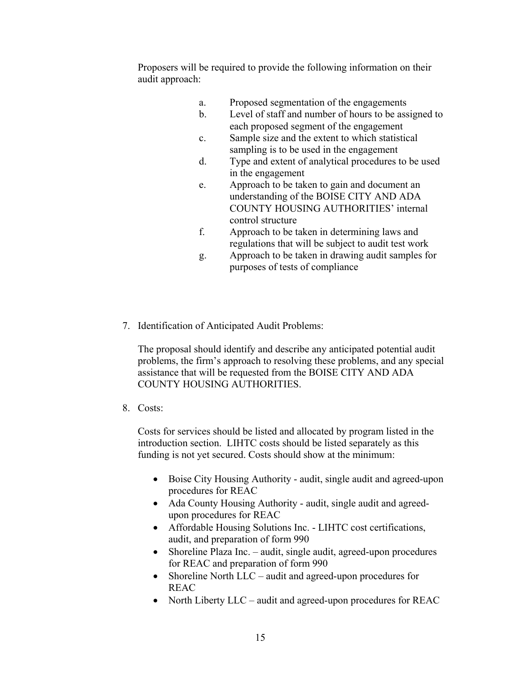Proposers will be required to provide the following information on their audit approach:

- a. Proposed segmentation of the engagements
- b. Level of staff and number of hours to be assigned to each proposed segment of the engagement
- c. Sample size and the extent to which statistical sampling is to be used in the engagement
- d. Type and extent of analytical procedures to be used in the engagement
- e. Approach to be taken to gain and document an understanding of the BOISE CITY AND ADA COUNTY HOUSING AUTHORITIES' internal control structure
- f. Approach to be taken in determining laws and regulations that will be subject to audit test work
- g. Approach to be taken in drawing audit samples for purposes of tests of compliance
- 7. Identification of Anticipated Audit Problems:

The proposal should identify and describe any anticipated potential audit problems, the firm's approach to resolving these problems, and any special assistance that will be requested from the BOISE CITY AND ADA COUNTY HOUSING AUTHORITIES.

8. Costs:

Costs for services should be listed and allocated by program listed in the introduction section. LIHTC costs should be listed separately as this funding is not yet secured. Costs should show at the minimum:

- Boise City Housing Authority audit, single audit and agreed-upon procedures for REAC
- Ada County Housing Authority audit, single audit and agreedupon procedures for REAC
- Affordable Housing Solutions Inc. LIHTC cost certifications, audit, and preparation of form 990
- Shoreline Plaza Inc. audit, single audit, agreed-upon procedures for REAC and preparation of form 990
- Shoreline North LLC audit and agreed-upon procedures for REAC
- North Liberty LLC audit and agreed-upon procedures for REAC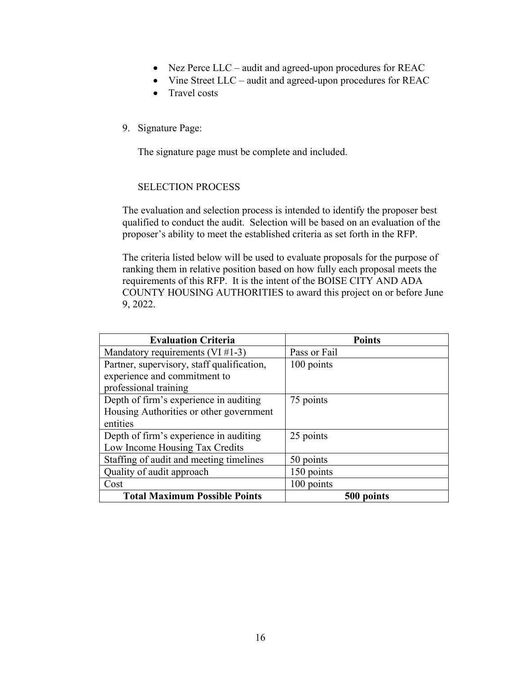- Nez Perce LLC audit and agreed-upon procedures for REAC
- Vine Street LLC audit and agreed-upon procedures for REAC
- Travel costs
- 9. Signature Page:

The signature page must be complete and included.

## SELECTION PROCESS

The evaluation and selection process is intended to identify the proposer best qualified to conduct the audit. Selection will be based on an evaluation of the proposer's ability to meet the established criteria as set forth in the RFP.

The criteria listed below will be used to evaluate proposals for the purpose of ranking them in relative position based on how fully each proposal meets the requirements of this RFP. It is the intent of the BOISE CITY AND ADA COUNTY HOUSING AUTHORITIES to award this project on or before June 9, 2022.

| <b>Evaluation Criteria</b>                 | <b>Points</b> |
|--------------------------------------------|---------------|
| Mandatory requirements (VI $#1-3$ )        | Pass or Fail  |
| Partner, supervisory, staff qualification, | 100 points    |
| experience and commitment to               |               |
| professional training                      |               |
| Depth of firm's experience in auditing     | 75 points     |
| Housing Authorities or other government    |               |
| entities                                   |               |
| Depth of firm's experience in auditing     | 25 points     |
| Low Income Housing Tax Credits             |               |
| Staffing of audit and meeting timelines    | 50 points     |
| Quality of audit approach                  | 150 points    |
| Cost                                       | 100 points    |
| <b>Total Maximum Possible Points</b>       | 500 points    |